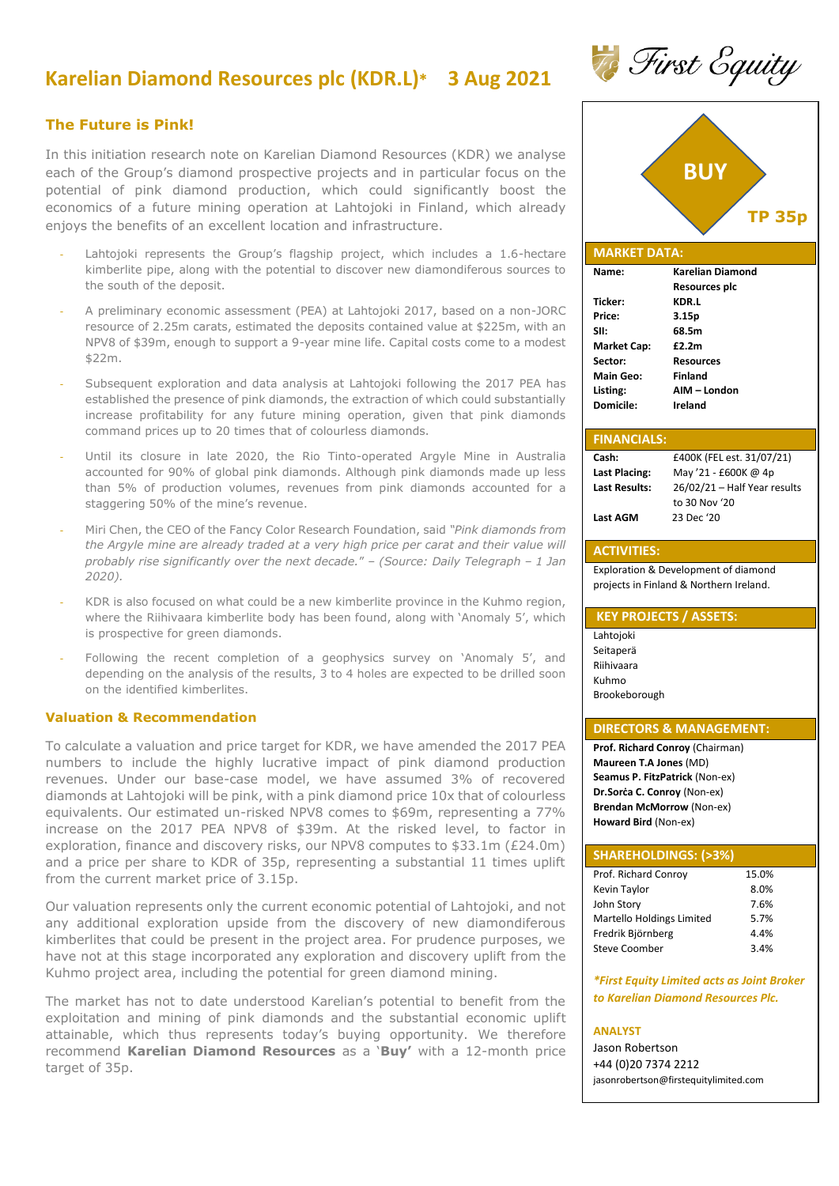# **Karelian Diamond Resources plc (KDR.L)\* 3 Aug 2021**

## **The Future is Pink!**

In this initiation research note on Karelian Diamond Resources (KDR) we analyse each of the Group's diamond prospective projects and in particular focus on the potential of pink diamond production, which could significantly boost the economics of a future mining operation at Lahtojoki in Finland, which already enjoys the benefits of an excellent location and infrastructure.

- Lahtojoki represents the Group's flagship project, which includes a 1.6-hectare kimberlite pipe, along with the potential to discover new diamondiferous sources to the south of the deposit.
- A preliminary economic assessment (PEA) at Lahtojoki 2017, based on a non-JORC resource of 2.25m carats, estimated the deposits contained value at \$225m, with an NPV8 of \$39m, enough to support a 9-year mine life. Capital costs come to a modest \$22m.
- Subsequent exploration and data analysis at Lahtojoki following the 2017 PEA has established the presence of pink diamonds, the extraction of which could substantially increase profitability for any future mining operation, given that pink diamonds command prices up to 20 times that of colourless diamonds.
- Until its closure in late 2020, the Rio Tinto-operated Argyle Mine in Australia accounted for 90% of global pink diamonds. Although pink diamonds made up less than 5% of production volumes, revenues from pink diamonds accounted for a staggering 50% of the mine's revenue.
- Miri Chen, the CEO of the Fancy Color Research Foundation, said *"Pink diamonds from the Argyle mine are already traded at a very high price per carat and their value will probably rise significantly over the next decade.*" – *(Source: Daily Telegraph – 1 Jan 2020).*
- KDR is also focused on what could be a new kimberlite province in the Kuhmo region, where the Riihivaara kimberlite body has been found, along with 'Anomaly 5', which is prospective for green diamonds.
- Following the recent completion of a geophysics survey on 'Anomaly 5', and depending on the analysis of the results, 3 to 4 holes are expected to be drilled soon on the identified kimberlites.

## **Valuation & Recommendation**

To calculate a valuation and price target for KDR, we have amended the 2017 PEA numbers to include the highly lucrative impact of pink diamond production revenues. Under our base-case model, we have assumed 3% of recovered diamonds at Lahtojoki will be pink, with a pink diamond price 10x that of colourless equivalents. Our estimated un-risked NPV8 comes to \$69m, representing a 77% increase on the 2017 PEA NPV8 of \$39m. At the risked level, to factor in exploration, finance and discovery risks, our NPV8 computes to \$33.1m (£24.0m) and a price per share to KDR of 35p, representing a substantial 11 times uplift from the current market price of 3.15p.

Our valuation represents only the current economic potential of Lahtojoki, and not any additional exploration upside from the discovery of new diamondiferous kimberlites that could be present in the project area. For prudence purposes, we have not at this stage incorporated any exploration and discovery uplift from the Kuhmo project area, including the potential for green diamond mining.

The market has not to date understood Karelian's potential to benefit from the exploitation and mining of pink diamonds and the substantial economic uplift attainable, which thus represents today's buying opportunity. We therefore recommend **Karelian Diamond Resources** as a '**Buy'** with a 12-month price target of 35p.



First Equity

## **Name: Karelian Diamond Resources plc Ticker: KDR.L Price: 3.15p SII: 68.5m Market Cap: £2.2m Sector: Resources Main Geo: Finland Listing: AIM – London Domicile: Ireland**

| <b>FINANCIALS:</b>   |                              |
|----------------------|------------------------------|
| Cash:                | £400K (FEL est. 31/07/21)    |
| Last Placing:        | May '21 - £600K @ 4p         |
| <b>Last Results:</b> | 26/02/21 - Half Year results |
|                      | to 30 Nov '20                |
| <b>Last AGM</b>      | 23 Dec '20                   |

# **ACTIVITIES:**

Exploration & Development of diamond projects in Finland & Northern Ireland.

#### **KEY PROJECTS / ASSETS:**

Lahtojoki Seitaperä Riihivaara Kuhmo Brookeborough

#### **DIRECTORS & MANAGEMENT:**

**Prof. Richard Conroy** (Chairman) **Maureen T.A Jones** (MD) **Seamus P. FitzPatrick** (Non-ex) **Dr.Sorċa C. Conroy** (Non-ex) **Brendan McMorrow** (Non-ex) **Howard Bird** (Non-ex)

# **SHAREHOLDINGS: (>3%)**

| Prof. Richard Conroy      | 15.0% |
|---------------------------|-------|
| Kevin Taylor              | 8.0%  |
| John Story                | 7.6%  |
| Martello Holdings Limited | 5.7%  |
| Fredrik Björnberg         | 4.4%  |
| <b>Steve Coomber</b>      | 3.4%  |

*\*First Equity Limited acts as Joint Broker to Karelian Diamond Resources Plc.* 

#### **ANALYST**

Jason Robertson +44 (0)20 7374 2212 [jasonrobertson@firstequitylimited.com](mailto:jasonrobertson@firstequitylimited.com)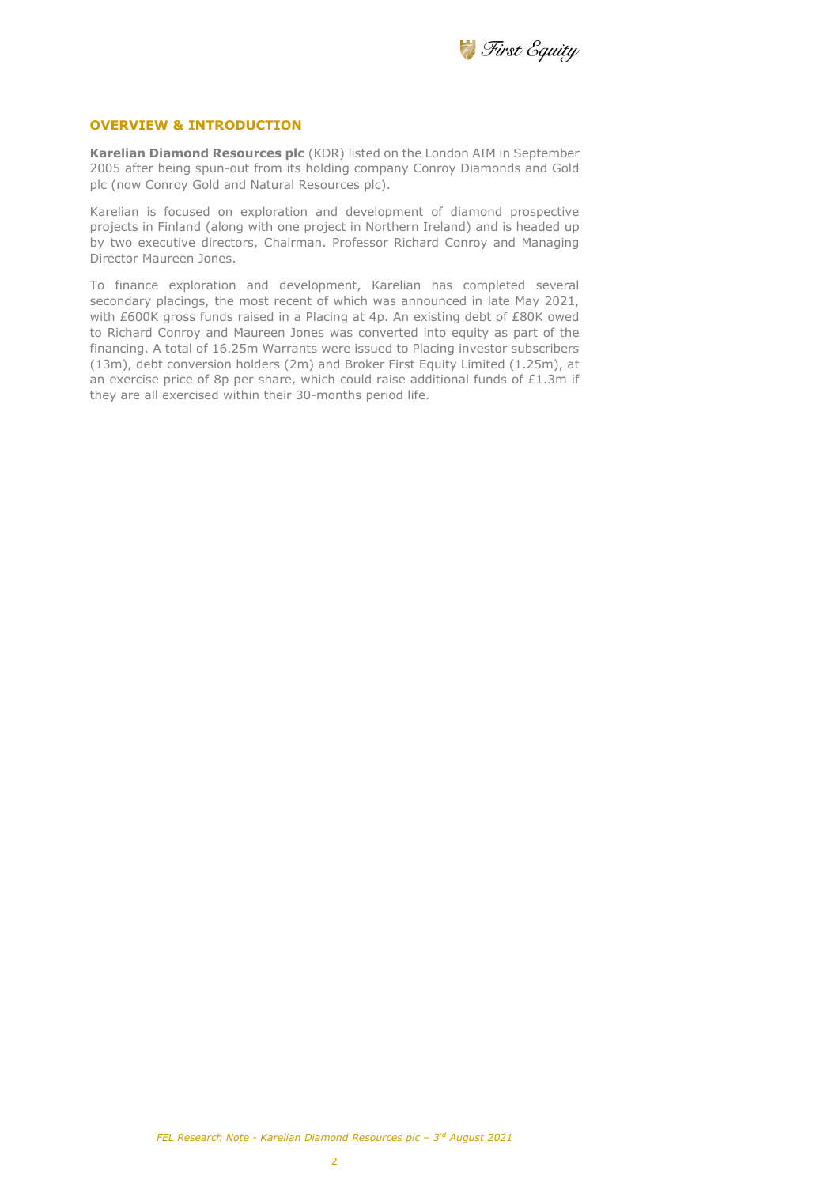

#### **OVERVIEW & INTRODUCTION**

**Karelian Diamond Resources plc** (KDR) listed on the London AIM in September 2005 after being spun-out from its holding company Conroy Diamonds and Gold plc (now Conroy Gold and Natural Resources plc).

Karelian is focused on exploration and development of diamond prospective projects in Finland (along with one project in Northern Ireland) and is headed up by two executive directors, Chairman. Professor Richard Conroy and Managing Director Maureen Jones.

To finance exploration and development, Karelian has completed several secondary placings, the most recent of which was announced in late May 2021, with £600K gross funds raised in a Placing at 4p. An existing debt of £80K owed to Richard Conroy and Maureen Jones was converted into equity as part of the financing. A total of 16.25m Warrants were issued to Placing investor subscribers (13m), debt conversion holders (2m) and Broker First Equity Limited (1.25m), at an exercise price of 8p per share, which could raise additional funds of £1.3m if they are all exercised within their 30-months period life.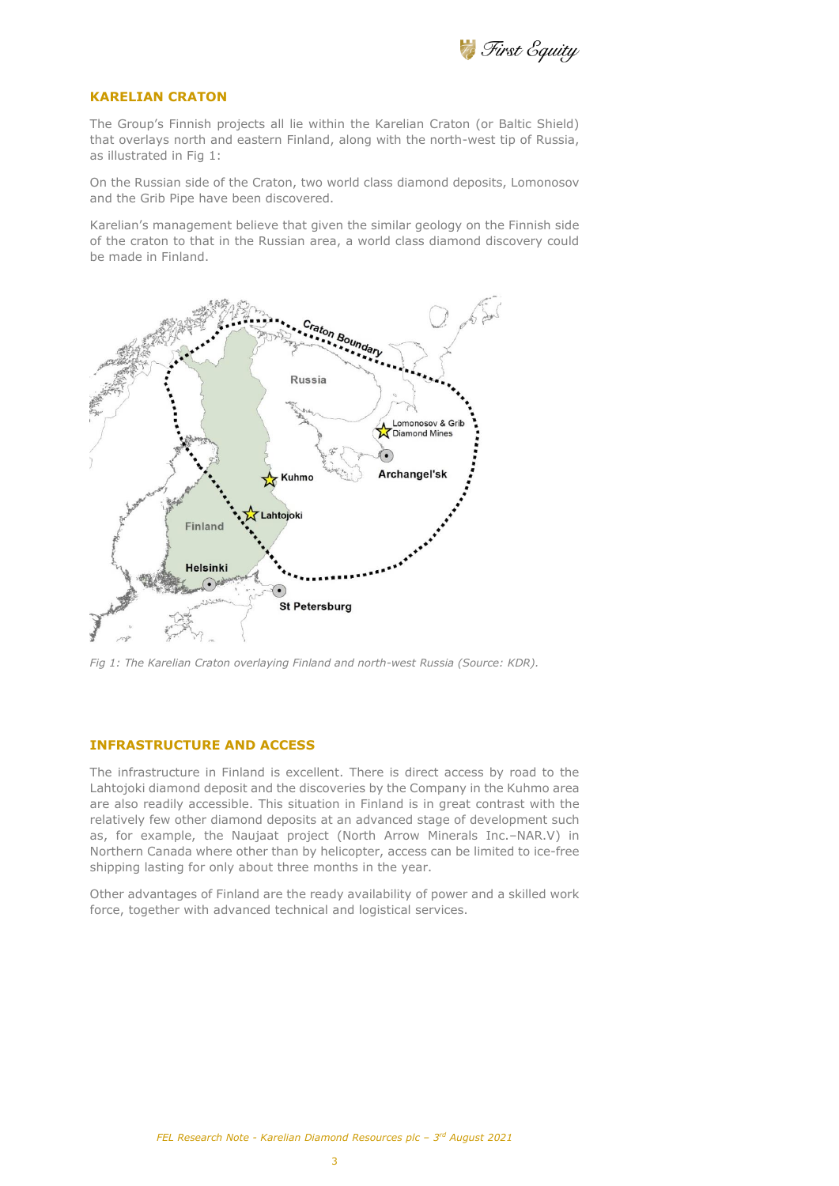

## **KARELIAN CRATON**

The Group's Finnish projects all lie within the Karelian Craton (or Baltic Shield) that overlays north and eastern Finland, along with the north-west tip of Russia, as illustrated in Fig 1:

On the Russian side of the Craton, two world class diamond deposits, Lomonosov and the Grib Pipe have been discovered.

Karelian's management believe that given the similar geology on the Finnish side of the craton to that in the Russian area, a world class diamond discovery could be made in Finland.



*Fig 1: The Karelian Craton overlaying Finland and north-west Russia (Source: KDR).* 

## **INFRASTRUCTURE AND ACCESS**

The infrastructure in Finland is excellent. There is direct access by road to the Lahtojoki diamond deposit and the discoveries by the Company in the Kuhmo area are also readily accessible. This situation in Finland is in great contrast with the relatively few other diamond deposits at an advanced stage of development such as, for example, the Naujaat project (North Arrow Minerals Inc.–NAR.V) in Northern Canada where other than by helicopter, access can be limited to ice-free shipping lasting for only about three months in the year.

Other advantages of Finland are the ready availability of power and a skilled work force, together with advanced technical and logistical services.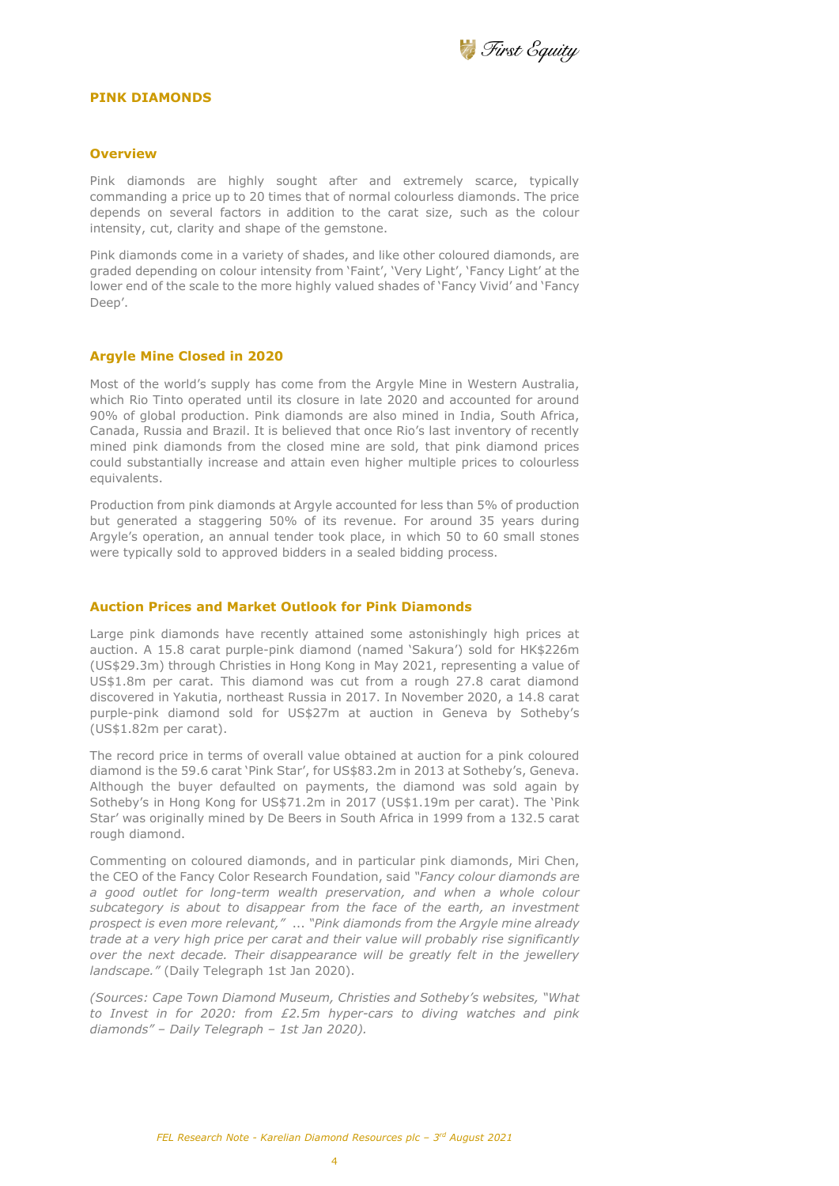

#### **PINK DIAMONDS**

#### **Overview**

Pink diamonds are highly sought after and extremely scarce, typically commanding a price up to 20 times that of normal colourless diamonds. The price depends on several factors in addition to the carat size, such as the colour intensity, cut, clarity and shape of the gemstone.

Pink diamonds come in a variety of shades, and like other coloured diamonds, are graded depending on colour intensity from 'Faint', 'Very Light', 'Fancy Light' at the lower end of the scale to the more highly valued shades of 'Fancy Vivid' and 'Fancy Deep'.

#### **Argyle Mine Closed in 2020**

Most of the world's supply has come from the Argyle Mine in Western Australia, which Rio Tinto operated until its closure in late 2020 and accounted for around 90% of global production. Pink diamonds are also mined in India, South Africa, Canada, Russia and Brazil. It is believed that once Rio's last inventory of recently mined pink diamonds from the closed mine are sold, that pink diamond prices could substantially increase and attain even higher multiple prices to colourless equivalents.

Production from pink diamonds at Argyle accounted for less than 5% of production but generated a staggering 50% of its revenue. For around 35 years during Argyle's operation, an annual tender took place, in which 50 to 60 small stones were typically sold to approved bidders in a sealed bidding process.

## **Auction Prices and Market Outlook for Pink Diamonds**

Large pink diamonds have recently attained some astonishingly high prices at auction. A 15.8 carat purple-pink diamond (named 'Sakura') sold for HK\$226m (US\$29.3m) through Christies in Hong Kong in May 2021, representing a value of US\$1.8m per carat. This diamond was cut from a rough 27.8 carat diamond discovered in Yakutia, northeast Russia in 2017. In November 2020, a 14.8 carat purple-pink diamond sold for US\$27m at auction in Geneva by Sotheby's (US\$1.82m per carat).

The record price in terms of overall value obtained at auction for a pink coloured diamond is the 59.6 carat 'Pink Star', for US\$83.2m in 2013 at Sotheby's, Geneva. Although the buyer defaulted on payments, the diamond was sold again by Sotheby's in Hong Kong for US\$71.2m in 2017 (US\$1.19m per carat). The 'Pink Star' was originally mined by De Beers in South Africa in 1999 from a 132.5 carat rough diamond.

Commenting on coloured diamonds, and in particular pink diamonds, Miri Chen, the CEO of the Fancy Color Research Foundation, said *"Fancy colour diamonds are a good outlet for long-term wealth preservation, and when a whole colour subcategory is about to disappear from the face of the earth, an investment prospect is even more relevant,"* ... *"Pink diamonds from the Argyle mine already trade at a very high price per carat and their value will probably rise significantly over the next decade. Their disappearance will be greatly felt in the jewellery landscape."* (Daily Telegraph 1st Jan 2020).

*(Sources: Cape Town Diamond Museum, Christies and Sotheby's websites, "What to Invest in for 2020: from £2.5m hyper-cars to diving watches and pink diamonds" – Daily Telegraph – 1st Jan 2020).*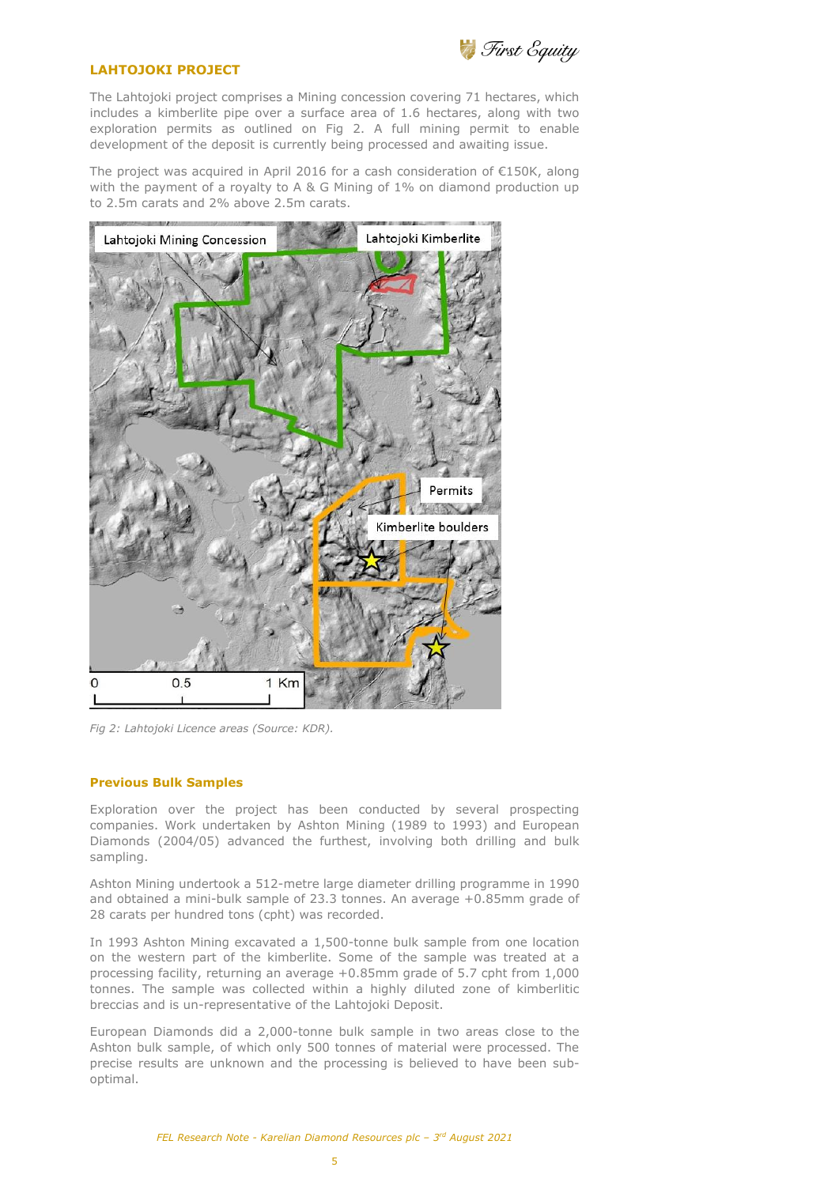

# **LAHTOJOKI PROJECT**

The Lahtojoki project comprises a Mining concession covering 71 hectares, which includes a kimberlite pipe over a surface area of 1.6 hectares, along with two exploration permits as outlined on Fig 2. A full mining permit to enable development of the deposit is currently being processed and awaiting issue.

The project was acquired in April 2016 for a cash consideration of €150K, along with the payment of a royalty to A & G Mining of 1% on diamond production up to 2.5m carats and 2% above 2.5m carats.



*Fig 2: Lahtojoki Licence areas (Source: KDR).* 

## **Previous Bulk Samples**

Exploration over the project has been conducted by several prospecting companies. Work undertaken by Ashton Mining (1989 to 1993) and European Diamonds (2004/05) advanced the furthest, involving both drilling and bulk sampling.

Ashton Mining undertook a 512-metre large diameter drilling programme in 1990 and obtained a mini-bulk sample of 23.3 tonnes. An average +0.85mm grade of 28 carats per hundred tons (cpht) was recorded.

In 1993 Ashton Mining excavated a 1,500-tonne bulk sample from one location on the western part of the kimberlite. Some of the sample was treated at a processing facility, returning an average +0.85mm grade of 5.7 cpht from 1,000 tonnes. The sample was collected within a highly diluted zone of kimberlitic breccias and is un-representative of the Lahtojoki Deposit.

European Diamonds did a 2,000-tonne bulk sample in two areas close to the Ashton bulk sample, of which only 500 tonnes of material were processed. The precise results are unknown and the processing is believed to have been suboptimal.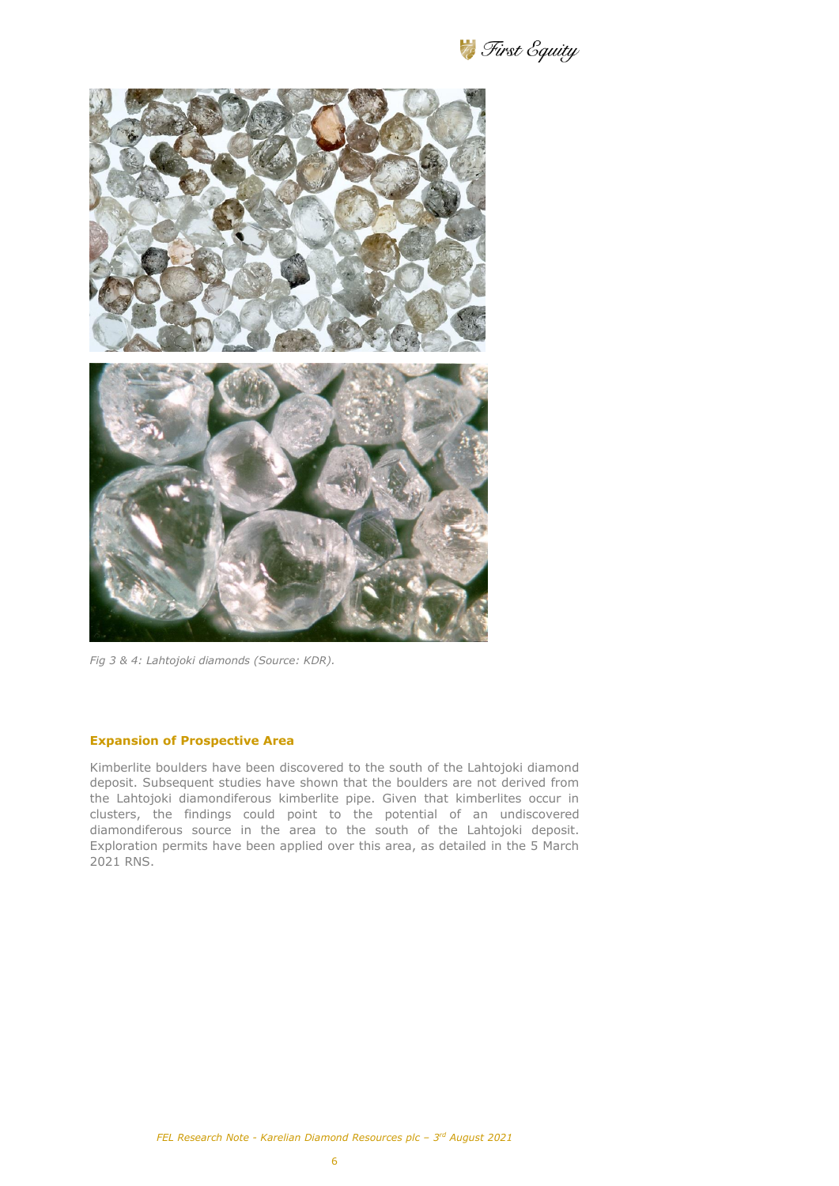First Equity



*Fig 3 & 4: Lahtojoki diamonds (Source: KDR).*

## **Expansion of Prospective Area**

Kimberlite boulders have been discovered to the south of the Lahtojoki diamond deposit. Subsequent studies have shown that the boulders are not derived from the Lahtojoki diamondiferous kimberlite pipe. Given that kimberlites occur in clusters, the findings could point to the potential of an undiscovered diamondiferous source in the area to the south of the Lahtojoki deposit. Exploration permits have been applied over this area, as detailed in the 5 March 2021 RNS.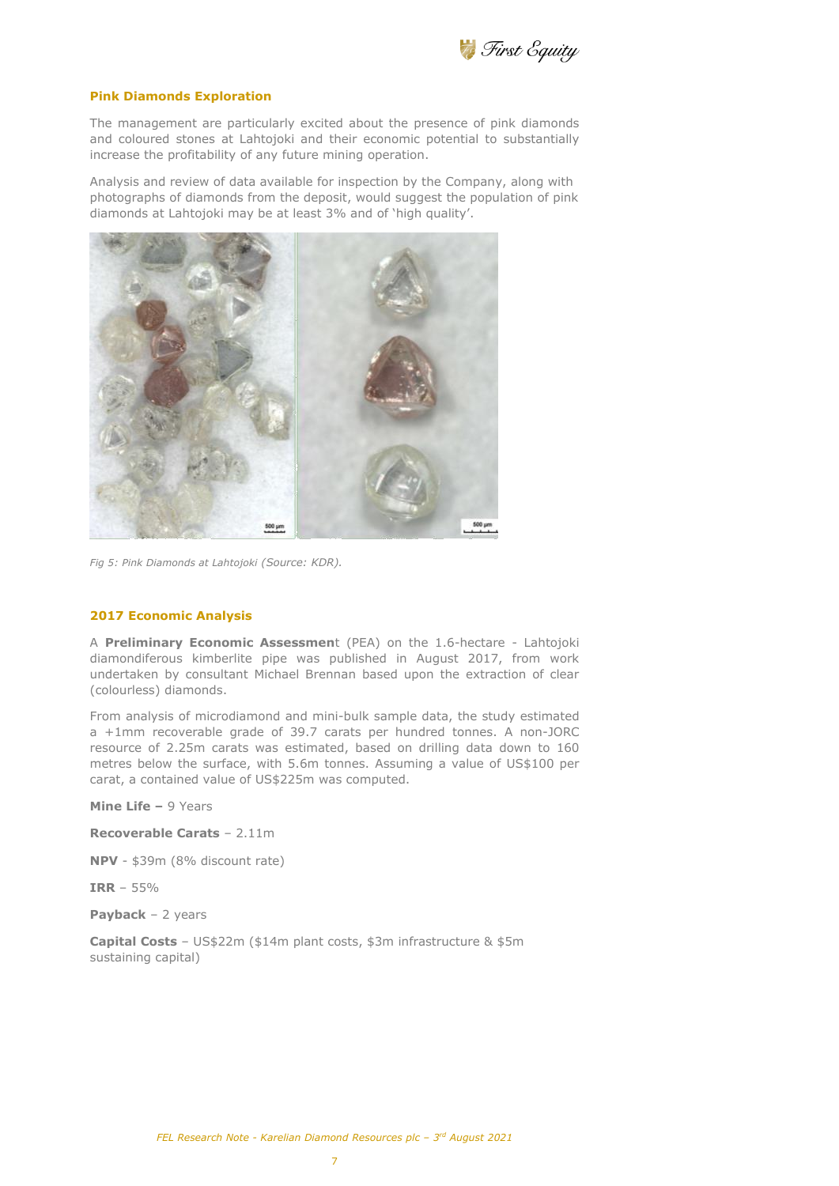

#### **Pink Diamonds Exploration**

The management are particularly excited about the presence of pink diamonds and coloured stones at Lahtojoki and their economic potential to substantially increase the profitability of any future mining operation.

Analysis and review of data available for inspection by the Company, along with photographs of diamonds from the deposit, would suggest the population of pink diamonds at Lahtojoki may be at least 3% and of 'high quality'.



*Fig 5: Pink Diamonds at Lahtojoki (Source: KDR).* 

#### **2017 Economic Analysis**

A **Preliminary Economic Assessmen**t (PEA) on the 1.6-hectare - Lahtojoki diamondiferous kimberlite pipe was published in August 2017, from work undertaken by consultant Michael Brennan based upon the extraction of clear (colourless) diamonds.

From analysis of microdiamond and mini-bulk sample data, the study estimated a +1mm recoverable grade of 39.7 carats per hundred tonnes. A non-JORC resource of 2.25m carats was estimated, based on drilling data down to 160 metres below the surface, with 5.6m tonnes. Assuming a value of US\$100 per carat, a contained value of US\$225m was computed.

**Mine Life –** 9 Years

**Recoverable Carats** – 2.11m

**NPV** - \$39m (8% discount rate)

**IRR** – 55%

**Payback** – 2 years

**Capital Costs** – US\$22m (\$14m plant costs, \$3m infrastructure & \$5m sustaining capital)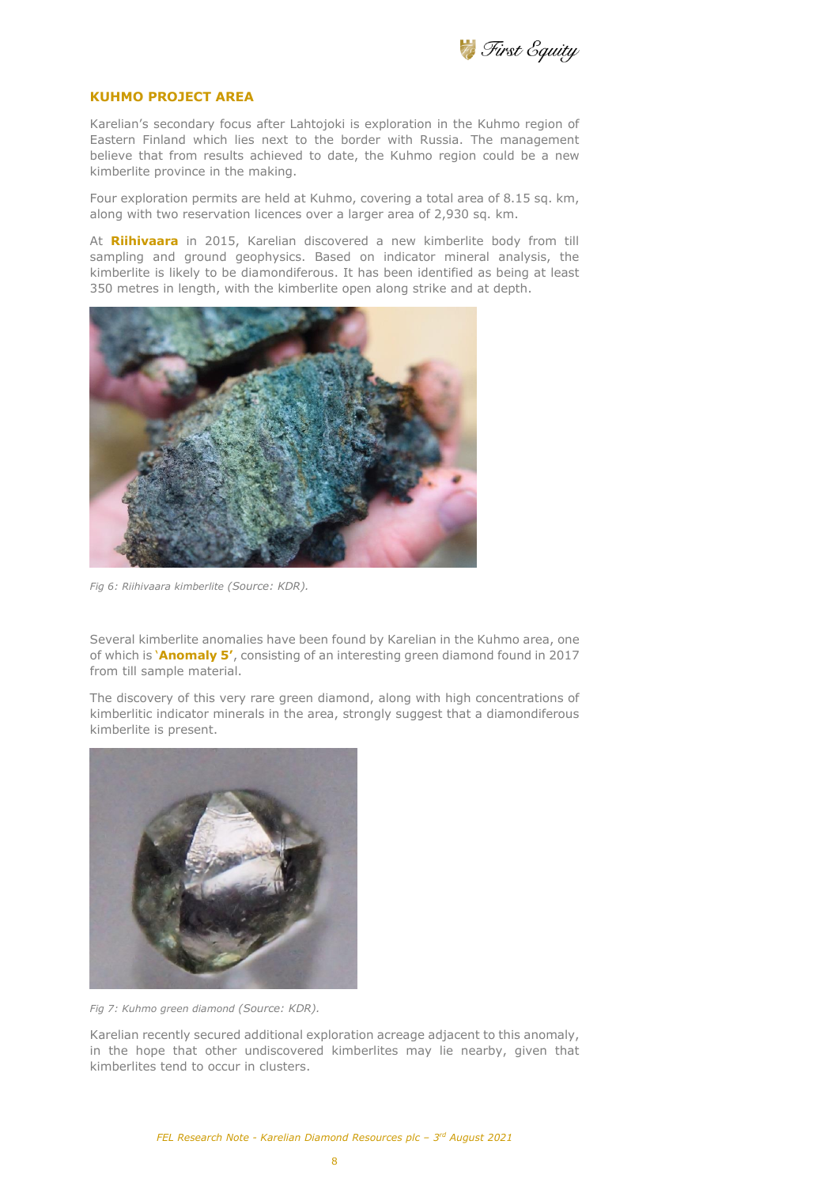

## **KUHMO PROJECT AREA**

Karelian's secondary focus after Lahtojoki is exploration in the Kuhmo region of Eastern Finland which lies next to the border with Russia. The management believe that from results achieved to date, the Kuhmo region could be a new kimberlite province in the making.

Four exploration permits are held at Kuhmo, covering a total area of 8.15 sq. km, along with two reservation licences over a larger area of 2,930 sq. km.

At **Riihivaara** in 2015, Karelian discovered a new kimberlite body from till sampling and ground geophysics. Based on indicator mineral analysis, the kimberlite is likely to be diamondiferous. It has been identified as being at least 350 metres in length, with the kimberlite open along strike and at depth.



*Fig 6: Riihivaara kimberlite (Source: KDR).* 

Several kimberlite anomalies have been found by Karelian in the Kuhmo area, one of which is '**Anomaly 5'**, consisting of an interesting green diamond found in 2017 from till sample material.

The discovery of this very rare green diamond, along with high concentrations of kimberlitic indicator minerals in the area, strongly suggest that a diamondiferous kimberlite is present.



*Fig 7: Kuhmo green diamond (Source: KDR).* 

Karelian recently secured additional exploration acreage adjacent to this anomaly, in the hope that other undiscovered kimberlites may lie nearby, given that kimberlites tend to occur in clusters.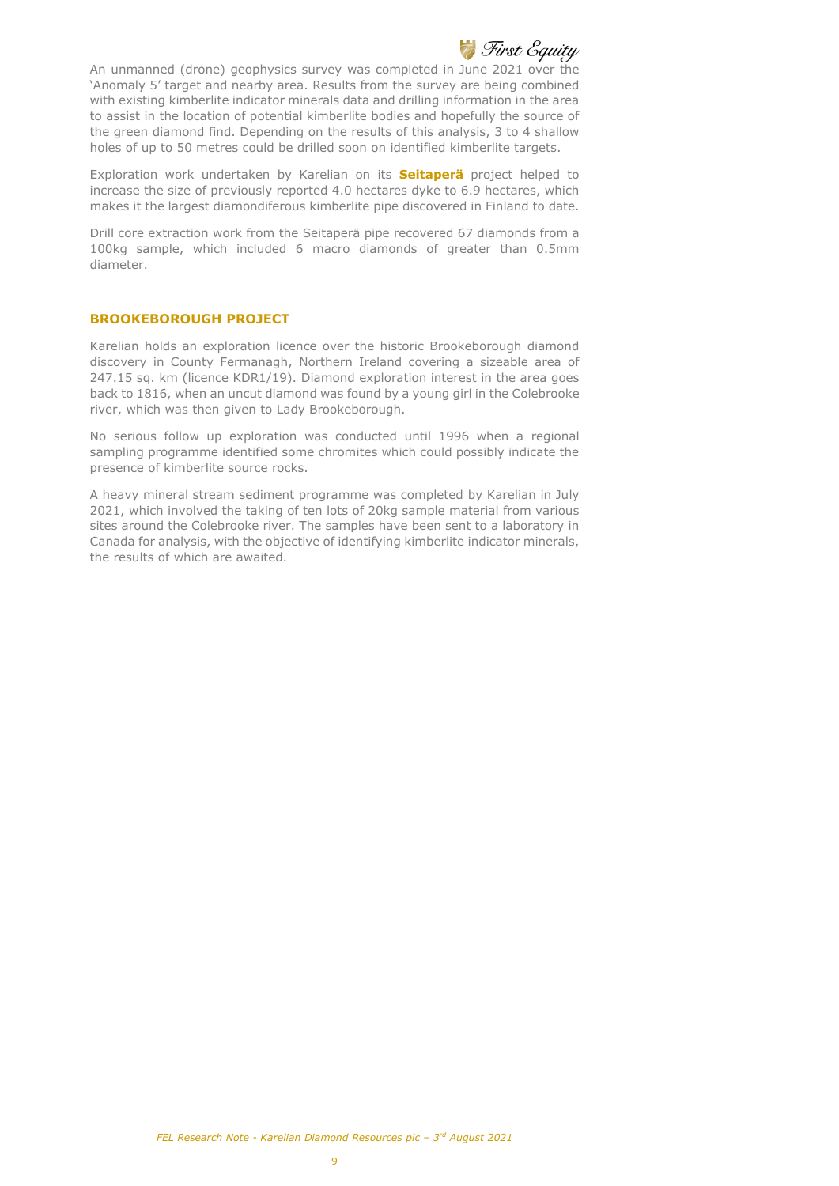

An unmanned (drone) geophysics survey was completed in June 2021 over the 'Anomaly 5' target and nearby area. Results from the survey are being combined with existing kimberlite indicator minerals data and drilling information in the area to assist in the location of potential kimberlite bodies and hopefully the source of the green diamond find. Depending on the results of this analysis, 3 to 4 shallow holes of up to 50 metres could be drilled soon on identified kimberlite targets.

Exploration work undertaken by Karelian on its **Seitaperä** project helped to increase the size of previously reported 4.0 hectares dyke to 6.9 hectares, which makes it the largest diamondiferous kimberlite pipe discovered in Finland to date.

Drill core extraction work from the Seitaperä pipe recovered 67 diamonds from a 100kg sample, which included 6 macro diamonds of greater than 0.5mm diameter.

## **BROOKEBOROUGH PROJECT**

Karelian holds an exploration licence over the historic Brookeborough diamond discovery in County Fermanagh, Northern Ireland covering a sizeable area of 247.15 sq. km (licence KDR1/19). Diamond exploration interest in the area goes back to 1816, when an uncut diamond was found by a young girl in the Colebrooke river, which was then given to Lady Brookeborough.

No serious follow up exploration was conducted until 1996 when a regional sampling programme identified some chromites which could possibly indicate the presence of kimberlite source rocks.

A heavy mineral stream sediment programme was completed by Karelian in July 2021, which involved the taking of ten lots of 20kg sample material from various sites around the Colebrooke river. The samples have been sent to a laboratory in Canada for analysis, with the objective of identifying kimberlite indicator minerals, the results of which are awaited.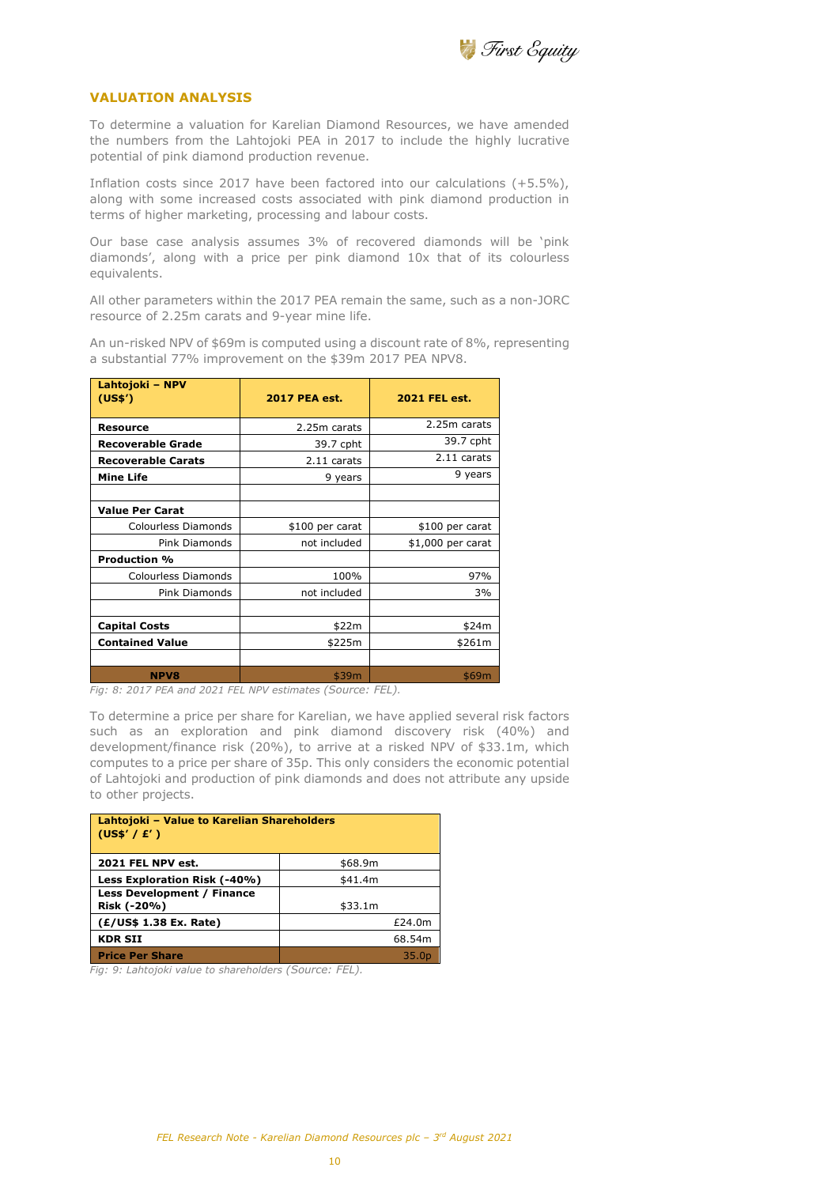

#### **VALUATION ANALYSIS**

To determine a valuation for Karelian Diamond Resources, we have amended the numbers from the Lahtojoki PEA in 2017 to include the highly lucrative potential of pink diamond production revenue.

Inflation costs since 2017 have been factored into our calculations (+5.5%), along with some increased costs associated with pink diamond production in terms of higher marketing, processing and labour costs.

Our base case analysis assumes 3% of recovered diamonds will be 'pink diamonds', along with a price per pink diamond 10x that of its colourless equivalents.

All other parameters within the 2017 PEA remain the same, such as a non-JORC resource of 2.25m carats and 9-year mine life.

An un-risked NPV of \$69m is computed using a discount rate of 8%, representing a substantial 77% improvement on the \$39m 2017 PEA NPV8.

| Lahtojoki - NPV<br>(US\$') | <b>2017 PEA est.</b> | <b>2021 FEL est.</b> |  |
|----------------------------|----------------------|----------------------|--|
| <b>Resource</b>            | 2.25m carats         | 2.25m carats         |  |
| <b>Recoverable Grade</b>   | 39.7 cpht            | 39.7 cpht            |  |
| <b>Recoverable Carats</b>  | 2.11 carats          | 2.11 carats          |  |
| <b>Mine Life</b>           | 9 years              | 9 years              |  |
|                            |                      |                      |  |
| <b>Value Per Carat</b>     |                      |                      |  |
| Colourless Diamonds        | \$100 per carat      | \$100 per carat      |  |
| Pink Diamonds              | not included         | \$1,000 per carat    |  |
| <b>Production %</b>        |                      |                      |  |
| Colourless Diamonds        | 100%                 | 97%                  |  |
| Pink Diamonds              | not included         | 3%                   |  |
|                            |                      |                      |  |
| <b>Capital Costs</b>       | \$22m                | \$24m                |  |
| <b>Contained Value</b>     | \$225m               | \$261m               |  |
|                            |                      |                      |  |
| <b>NPV8</b>                | \$39m                | \$69m                |  |

*Fig: 8: 2017 PEA and 2021 FEL NPV estimates (Source: FEL).* 

To determine a price per share for Karelian, we have applied several risk factors such as an exploration and pink diamond discovery risk (40%) and development/finance risk (20%), to arrive at a risked NPV of \$33.1m, which computes to a price per share of 35p. This only considers the economic potential of Lahtojoki and production of pink diamonds and does not attribute any upside to other projects.

| Lahtojoki - Value to Karelian Shareholders<br>(US\$'/E') |                   |  |  |  |
|----------------------------------------------------------|-------------------|--|--|--|
| 2021 FEL NPV est.                                        | \$68.9m           |  |  |  |
| Less Exploration Risk (-40%)                             | \$41.4m           |  |  |  |
| <b>Less Development / Finance</b><br>Risk (-20%)         | \$33.1m           |  |  |  |
| (E/US\$ 1.38 Ex. Rate)                                   | £24.0m            |  |  |  |
| <b>KDR SII</b>                                           | 68.54m            |  |  |  |
| <b>Price Per Share</b>                                   | 35.0 <sub>p</sub> |  |  |  |

*Fig: 9: Lahtojoki value to shareholders (Source: FEL).*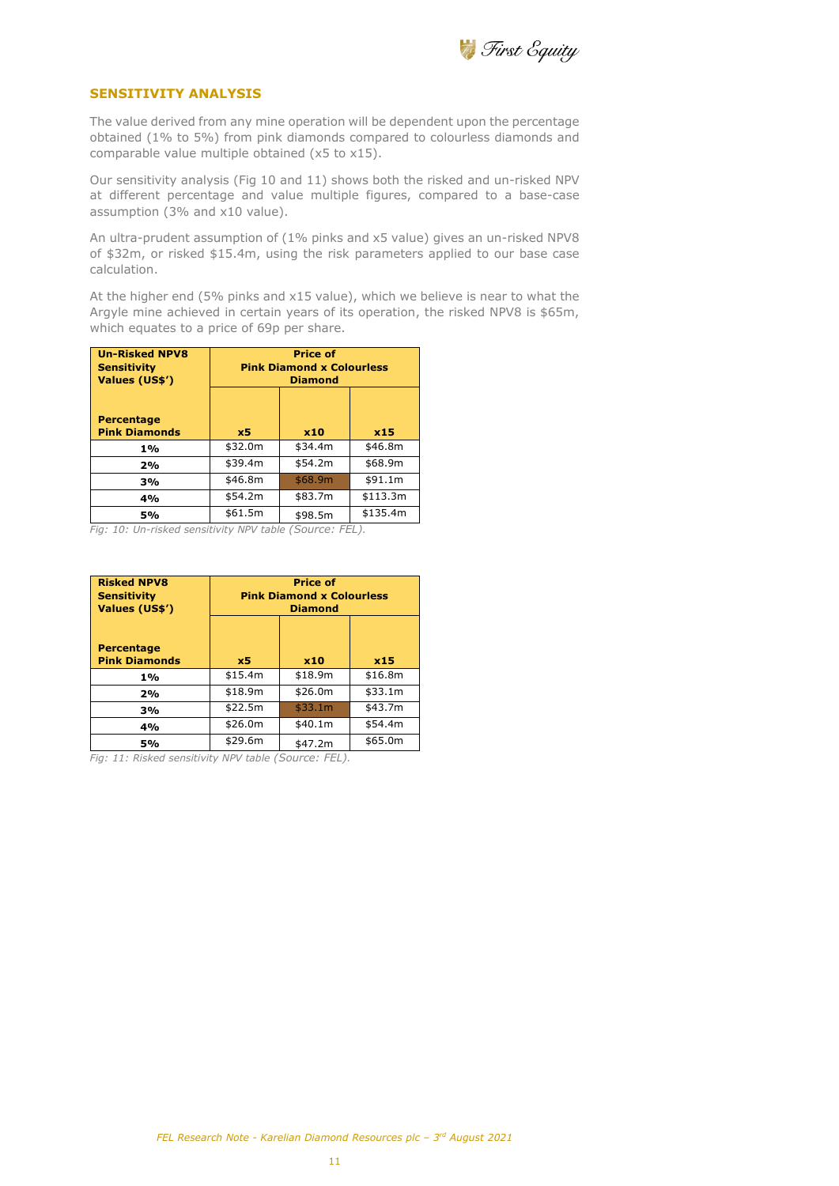

## **SENSITIVITY ANALYSIS**

The value derived from any mine operation will be dependent upon the percentage obtained (1% to 5%) from pink diamonds compared to colourless diamonds and comparable value multiple obtained (x5 to x15).

Our sensitivity analysis (Fig 10 and 11) shows both the risked and un-risked NPV at different percentage and value multiple figures, compared to a base-case assumption (3% and x10 value).

An ultra-prudent assumption of (1% pinks and x5 value) gives an un-risked NPV8 of \$32m, or risked \$15.4m, using the risk parameters applied to our base case calculation.

At the higher end (5% pinks and x15 value), which we believe is near to what the Argyle mine achieved in certain years of its operation, the risked NPV8 is \$65m, which equates to a price of 69p per share.

| <b>Un-Risked NPV8</b><br><b>Sensitivity</b><br>Values (US\$') | <b>Price of</b><br><b>Pink Diamond x Colourless</b><br><b>Diamond</b> |         |          |
|---------------------------------------------------------------|-----------------------------------------------------------------------|---------|----------|
| <b>Percentage</b><br><b>Pink Diamonds</b>                     | x5                                                                    | x10     | x15      |
| 1%                                                            | \$32.0m                                                               | \$34.4m | \$46.8m  |
| 2%                                                            | \$39.4m                                                               | \$54.2m | \$68.9m  |
| 3%                                                            | \$46.8m                                                               | \$68.9m | \$91.1m  |
| 4%                                                            | \$54.2m                                                               | \$83.7m | \$113.3m |
| 5%                                                            | \$61.5m                                                               | \$98.5m | \$135.4m |

*Fig: 10: Un-risked sensitivity NPV table (Source: FEL).* 

| <b>Risked NPV8</b><br><b>Sensitivity</b><br>Values (US\$') | <b>Price of</b><br><b>Pink Diamond x Colourless</b><br><b>Diamond</b> |         |         |
|------------------------------------------------------------|-----------------------------------------------------------------------|---------|---------|
| <b>Percentage</b><br><b>Pink Diamonds</b>                  | x <sub>5</sub>                                                        | x10     | x15     |
| 1%                                                         | \$15.4m                                                               | \$18.9m | \$16.8m |
| 2%                                                         | \$18.9m                                                               | \$26.0m | \$33.1m |
| 3%                                                         | \$22.5m                                                               | \$33.1m | \$43.7m |
| 4%                                                         | \$26.0m                                                               | \$40.1m | \$54.4m |
| 5%                                                         | \$29.6m                                                               | \$47.2m | \$65.0m |

*Fig: 11: Risked sensitivity NPV table (Source: FEL).*